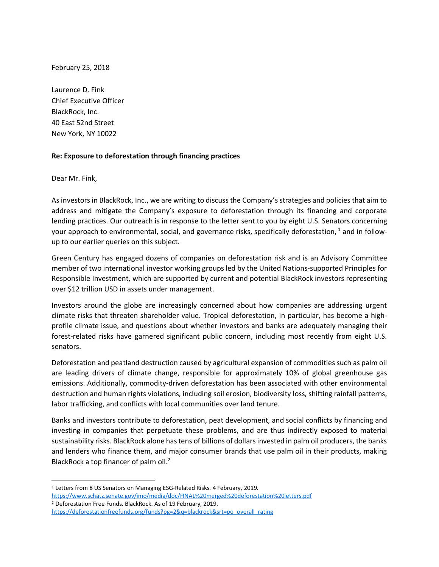February 25, 2018

Laurence D. Fink Chief Executive Officer BlackRock, Inc. 40 East 52nd Street New York, NY 10022

## **Re: Exposure to deforestation through financing practices**

Dear Mr. Fink,

As investors in BlackRock, Inc., we are writing to discuss the Company's strategies and policies that aim to address and mitigate the Company's exposure to deforestation through its financing and corporate lending practices. Our outreach is in response to the letter sent to you by eight U.S. Senators concerning your approach to environmental, social, and governance risks, specifically deforestation,  $1$  and in followup to our earlier queries on this subject.

Green Century has engaged dozens of companies on deforestation risk and is an Advisory Committee member of two international investor working groups led by the United Nations-supported Principles for Responsible Investment, which are supported by current and potential BlackRock investors representing over \$12 trillion USD in assets under management.

Investors around the globe are increasingly concerned about how companies are addressing urgent climate risks that threaten shareholder value. Tropical deforestation, in particular, has become a highprofile climate issue, and questions about whether investors and banks are adequately managing their forest-related risks have garnered significant public concern, including most recently from eight U.S. senators.

Deforestation and peatland destruction caused by agricultural expansion of commodities such as palm oil are leading drivers of climate change, responsible for approximately 10% of global greenhouse gas emissions. Additionally, commodity-driven deforestation has been associated with other environmental destruction and human rights violations, including soil erosion, biodiversity loss, shifting rainfall patterns, labor trafficking, and conflicts with local communities over land tenure.

Banks and investors contribute to deforestation, peat development, and social conflicts by financing and investing in companies that perpetuate these problems, and are thus indirectly exposed to material sustainability risks. BlackRock alone has tens of billions of dollars invested in palm oil producers, the banks and lenders who finance them, and major consumer brands that use palm oil in their products, making BlackRock a top financer of palm oil.<sup>2</sup>

 <sup>1</sup> Letters from 8 US Senators on Managing ESG-Related Risks. 4 February, 2019.

https://www.schatz.senate.gov/imo/media/doc/FINAL%20merged%20deforestation%20letters.pdf

<sup>2</sup> Deforestation Free Funds. BlackRock. As of 19 February, 2019.

https://deforestationfreefunds.org/funds?pg=2&q=blackrock&srt=po\_overall\_rating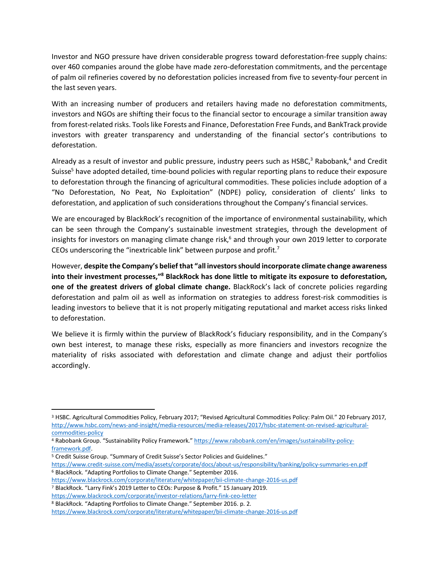Investor and NGO pressure have driven considerable progress toward deforestation-free supply chains: over 460 companies around the globe have made zero-deforestation commitments, and the percentage of palm oil refineries covered by no deforestation policies increased from five to seventy-four percent in the last seven years.

With an increasing number of producers and retailers having made no deforestation commitments, investors and NGOs are shifting their focus to the financial sector to encourage a similar transition away from forest-related risks. Tools like Forests and Finance, Deforestation Free Funds, and BankTrack provide investors with greater transparency and understanding of the financial sector's contributions to deforestation.

Already as a result of investor and public pressure, industry peers such as HSBC,<sup>3</sup> Rabobank,<sup>4</sup> and Credit Suisse<sup>5</sup> have adopted detailed, time-bound policies with regular reporting plans to reduce their exposure to deforestation through the financing of agricultural commodities. These policies include adoption of a "No Deforestation, No Peat, No Exploitation" (NDPE) policy, consideration of clients' links to deforestation, and application of such considerations throughout the Company's financial services.

We are encouraged by BlackRock's recognition of the importance of environmental sustainability, which can be seen through the Company's sustainable investment strategies, through the development of insights for investors on managing climate change risk, $<sup>6</sup>$  and through your own 2019 letter to corporate</sup> CEOs underscoring the "inextricable link" between purpose and profit.<sup>7</sup>

However, **despite the Company's belief that "all investors should incorporate climate change awareness into their investment processes,"8 BlackRock has done little to mitigate its exposure to deforestation, one of the greatest drivers of global climate change.** BlackRock's lack of concrete policies regarding deforestation and palm oil as well as information on strategies to address forest-risk commodities is leading investors to believe that it is not properly mitigating reputational and market access risks linked to deforestation.

We believe it is firmly within the purview of BlackRock's fiduciary responsibility, and in the Company's own best interest, to manage these risks, especially as more financiers and investors recognize the materiality of risks associated with deforestation and climate change and adjust their portfolios accordingly.

- framework.pdf.<br><sup>5</sup> Credit Suisse Group. "Summary of Credit Suisse's Sector Policies and Guidelines."
- https://www.credit-suisse.com/media/assets/corporate/docs/about-us/responsibility/banking/policy-summaries-en.pdf <sup>6</sup> BlackRock. "Adapting Portfolios to Climate Change." September 2016.
- https://www.blackrock.com/corporate/literature/whitepaper/bii-climate-change-2016-us.pdf
- <sup>7</sup> BlackRock. "Larry Fink's 2019 Letter to CEOs: Purpose & Profit." 15 January 2019.
- https://www.blackrock.com/corporate/investor-relations/larry-fink-ceo-letter <sup>8</sup> BlackRock. "Adapting Portfolios to Climate Change." September 2016. p. 2.

https://www.blackrock.com/corporate/literature/whitepaper/bii-climate-change-2016-us.pdf

 <sup>3</sup> HSBC. Agricultural Commodities Policy, February 2017; "Revised Agricultural Commodities Policy: Palm Oil." 20 February 2017, http://www.hsbc.com/news-and-insight/media-resources/media-releases/2017/hsbc-statement-on-revised-agriculturalcommodities-policy

<sup>4</sup> Rabobank Group. "Sustainability Policy Framework." https://www.rabobank.com/en/images/sustainability-policy-